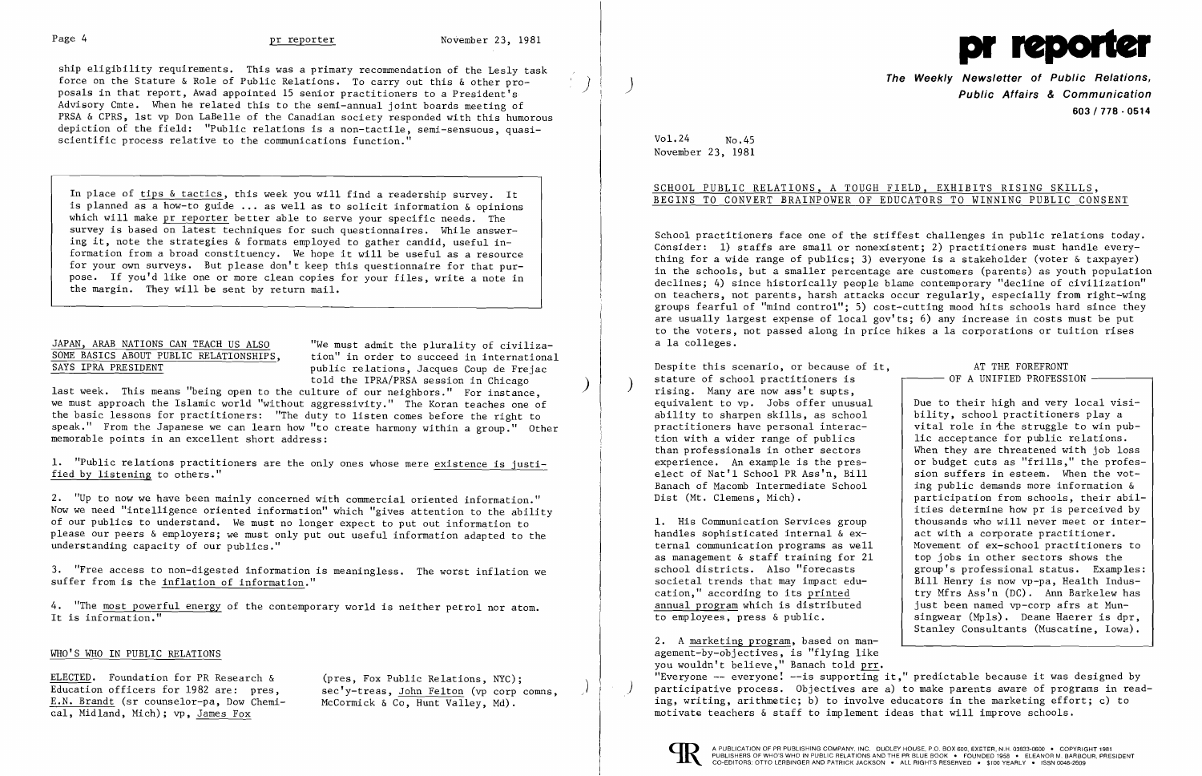

ship eligibility requirements. This was a primary recommendation of the Lesly task Force on the Stature & Role of Public Relations. To carry out this & other pro-<br>
posals in that report, Awad appointed 15 senior practitioners to a President's **Example 1999** (and the Weekly Newsletter of Public Relations, Advisory Cmte. When he related this to the semi-annual joint boards meeting of PRSA & CPRS, 1st vp Don LaBelle of the Canadian society responded with this humorous depiction of the field: "Public relations is a non-tactile, semi-sensuous, quasiscientific process relative to the communications function."

In place of tips & tactics, this week you will find a readership survey. It is planned as a how-to guide ... as well as to solicit information & opinions which will make pr reporter better able to serve your specific needs. The survey is based on latest techniques for such questionnaires. While answering it, note the strategies & formats employed to gather candid, useful information from a broad constituency. We hope it will be useful as a resource for your own surveys. But please don't keep this questionnaire for that purpose. If you'd like one or more clean copies for your files, write a note in the margin. They will be sent by return mail.

## JAPAN, ARAB NATIONS CAN TEACH US ALSO SOME BASICS ABOUT PUBLIC RELATIONSHIPS, SAYS IPRA PRESIDENT

"We must admit the plurality of civiliza tion" in order to succeed in international public relations, Jacques Coup de Frejac told the IPRA/PRSA session in Chicago

School practitioners face one of the stiffest challenges in public relations today. Consider: 1) staffs are small or nonexistent; 2) practitioners must handle everything for a wide range of publics; 3) everyone is a stakeholder (voter & taxpayer) in the schools, but a smaller percentage are customers (parents) as youth population declines; 4) since historically people blame contemporary "decline of civilization" on teachers, not parents, harsh attacks occur regularly, especially from right-wing groups fearful of "mind control"; 5) cost-cutting mood hits schools hard since they are usually largest expense of local gov'ts; 6) any increase in costs must be put to the voters, not passed along in price hikes a la corporations or tuition rises a la colleges.

last week. This means "being open to the ) culture of our neighbors." For instance, we must approach the Islamic world "without aggressivity." The Koran teaches one of the basic lessons for practitioners: "The duty to listen comes before the right to speak." From the Japanese we can learn how "to create harmony within a group." Other memorable points in an excellent short address:

1. "Public relations practitioners are the only ones whose mere existence is justified by listening to others."

2. "Up to now we have been mainly concerned with commercial oriented information." Now we need "intelligence oriented information" which "gives attention to the ability of our publics to understand. We must no longer expect to put out information to please our peers & employers; we must only put out useful information adapted to the understanding capacity of our publics."

3. "Free access to non-digested information is meaningless. The worst inflation we suffer from is the inflation of information."

4. "The most powerful energy of the contemporary world is neither petrol nor atom. It is information."

## WHO'S WHO IN PUBLIC RELATIONS

ELECTED. Foundation for PR Research & Education officers for 1982 are: pres, E.N. Brandt (sr counselor-pa, Dow Chemical, Midland, Mich); vp, James Fox

(pres, Fox Public Relations, NYC);<br>sec'y-treas, John Felton (vp corp comns, McCormick & Co, Hunt Valley, Md).

Due to their high and very local visibility, school practitioners playa vital role in the struggle to win public acceptance for public relations. When they are threatened with job loss or budget cuts as "frills," the profession suffers in esteem. When the voting public demands more information & participation from schools, their abilities determine how pr is perceived by thousands who will never meet or interact with a corporate practitioner. Movement of ex-school practitioners to top jobs in other sectors shows the group's professional status. Examples: Bill Henry is now vp-pa, Health Industry Mfrs Ass'n (DC). Ann Barkelew has just been named vp-corp afrs at Munsingwear (Mpls). Deane Haerer is dpr, Stanley Consultants (Muscatine, Iowa).

**603/778·0514** 

## Vol.24 No.45 November 23, 1981

# SCHOOL PUBLIC RELATIONS, A TOUGH FIELD, EXHIBITS RISING SKILLS, BEGINS TO CONVERT BRAINPOWER OF EDUCATORS TO WINNING PUBLIC CONSENT

Despite this scenario, or because of it, stature of school practitioners is<br>rising. Many are now ass't supts, equivalent to vp. Jobs offer unusual ability to sharpen skills, as school practitioners have personal interaction with a wider range of publics than professionals in other sectors experience. An example is the preselect of Nat'l School PR Ass'n, Bill Banach of Macomb Intermediate School Dist (Mt. Clemens, Mich).

1. His Communication Services group handles sophisticated internal & external communication programs as well as management & staff training for 21 school districts. Also "forecasts societal trends that may impact education," according to its printed annual program which is distributed to employees, press & public.

### AT THE FOREFRONT OF A UNIFIED PROFESSION

2. A marketing program, based on management-by-objectives, is "flying like you wouldn't believe." Banach told prr. "Everyone  $-$ - everyone!  $-$ -is supporting it," predictable because it was designed by participative process. Objectives are a) to make parents aware of programs in reading, writing, arithmetic; b) to involve educators in the marketing effort; c) to motivate teachers & staff to implement ideas that will improve schools.



I